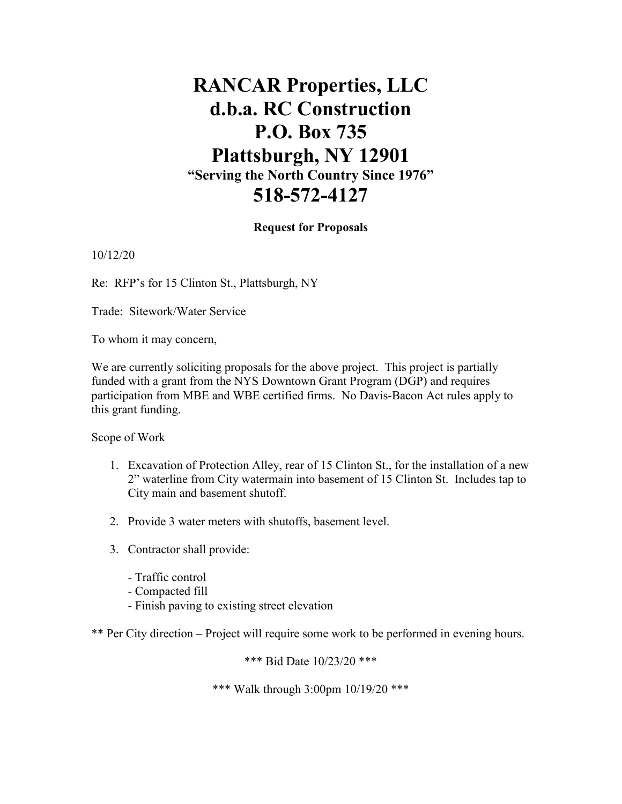## **RANCAR Properties, LLC d.b.a. RC Construction P.O. Box 735 Plattsburgh, NY 12901 "Serving the North Country Since 1976" 518-572-4127**

## **Request for Proposals**

10/12/20

Re: RFP's for 15 Clinton St., Plattsburgh, NY

Trade: Sitework/Water Service

To whom it may concern,

We are currently soliciting proposals for the above project. This project is partially funded with a grant from the NYS Downtown Grant Program (DGP) and requires participation from MBE and WBE certified firms. No Davis-Bacon Act rules apply to this grant funding.

Scope of Work

- 1. Excavation of Protection Alley, rear of 15 Clinton St., for the installation of a new 2" waterline from City watermain into basement of 15 Clinton St. Includes tap to City main and basement shutoff.
- 2. Provide 3 water meters with shutoffs, basement level.
- 3. Contractor shall provide:
	- Traffic control
	- Compacted fill
	- Finish paving to existing street elevation

\*\* Per City direction – Project will require some work to be performed in evening hours.

\*\*\* Bid Date 10/23/20 \*\*\*

\*\*\* Walk through 3:00pm 10/19/20 \*\*\*